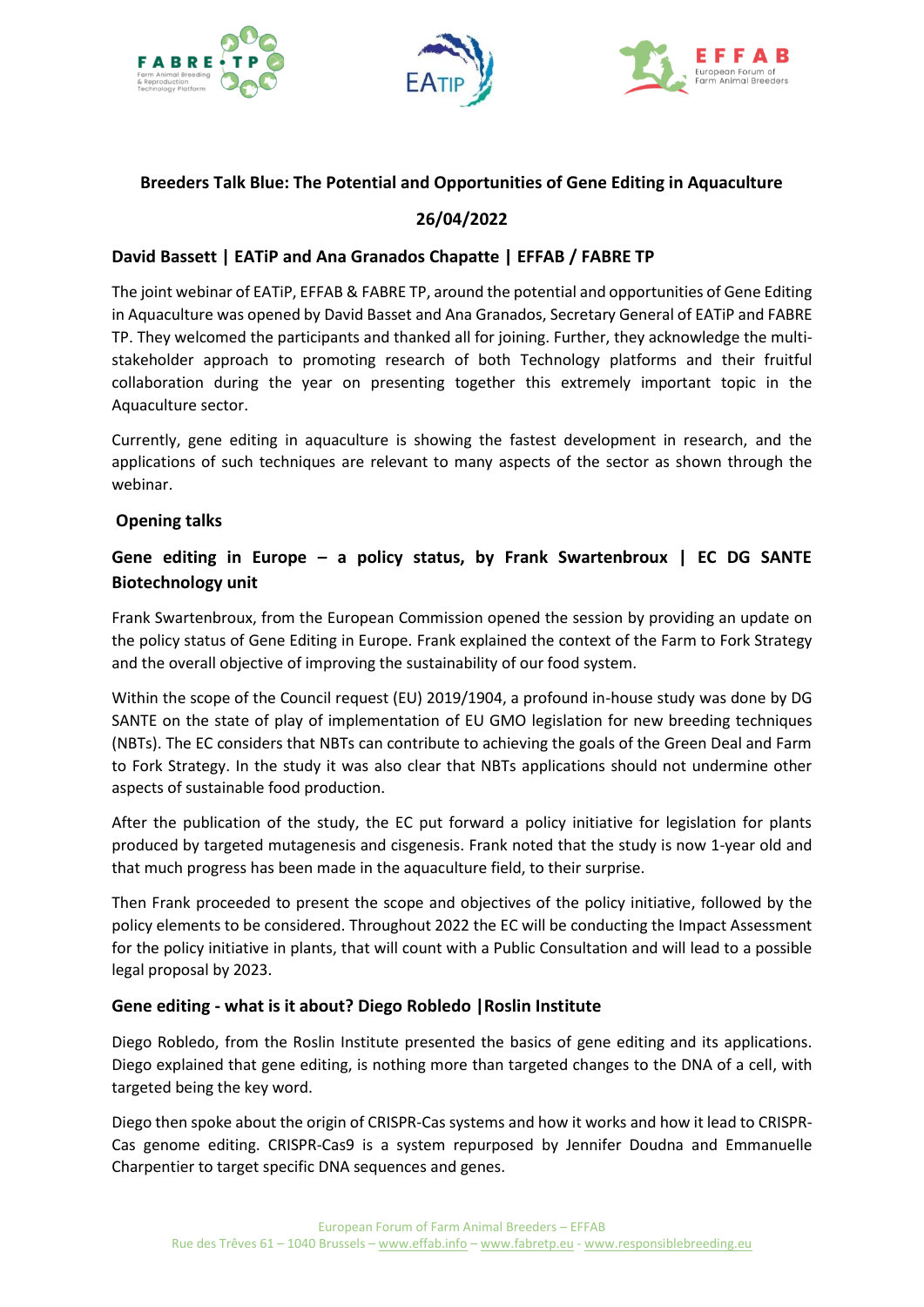





### **Breeders Talk Blue: The Potential and Opportunities of Gene Editing in Aquaculture**

# **26/04/2022**

### **David Bassett | EATiP and Ana Granados Chapatte | EFFAB / FABRE TP**

The joint webinar of EATiP, EFFAB & FABRE TP, around the potential and opportunities of Gene Editing in Aquaculture was opened by David Basset and Ana Granados, Secretary General of EATiP and FABRE TP. They welcomed the participants and thanked all for joining. Further, they acknowledge the multistakeholder approach to promoting research of both Technology platforms and their fruitful collaboration during the year on presenting together this extremely important topic in the Aquaculture sector.

Currently, gene editing in aquaculture is showing the fastest development in research, and the applications of such techniques are relevant to many aspects of the sector as shown through the webinar.

### **Opening talks**

# **Gene editing in Europe – a policy status, by Frank Swartenbroux | EC DG SANTE Biotechnology unit**

Frank Swartenbroux, from the European Commission opened the session by providing an update on the policy status of Gene Editing in Europe. Frank explained the context of the Farm to Fork Strategy and the overall objective of improving the sustainability of our food system.

Within the scope of the Council request (EU) 2019/1904, a profound in-house study was done by DG SANTE on the state of play of implementation of EU GMO legislation for new breeding techniques (NBTs). The EC considers that NBTs can contribute to achieving the goals of the Green Deal and Farm to Fork Strategy. In the study it was also clear that NBTs applications should not undermine other aspects of sustainable food production.

After the publication of the study, the EC put forward a policy initiative for legislation for plants produced by targeted mutagenesis and cisgenesis. Frank noted that the study is now 1-year old and that much progress has been made in the aquaculture field, to their surprise.

Then Frank proceeded to present the scope and objectives of the policy initiative, followed by the policy elements to be considered. Throughout 2022 the EC will be conducting the Impact Assessment for the policy initiative in plants, that will count with a Public Consultation and will lead to a possible legal proposal by 2023.

### **Gene editing - what is it about? Diego Robledo |Roslin Institute**

Diego Robledo, from the Roslin Institute presented the basics of gene editing and its applications. Diego explained that gene editing, is nothing more than targeted changes to the DNA of a cell, with targeted being the key word.

Diego then spoke about the origin of CRISPR-Cas systems and how it works and how it lead to CRISPR-Cas genome editing. CRISPR-Cas9 is a system repurposed by Jennifer Doudna and Emmanuelle Charpentier to target specific DNA sequences and genes.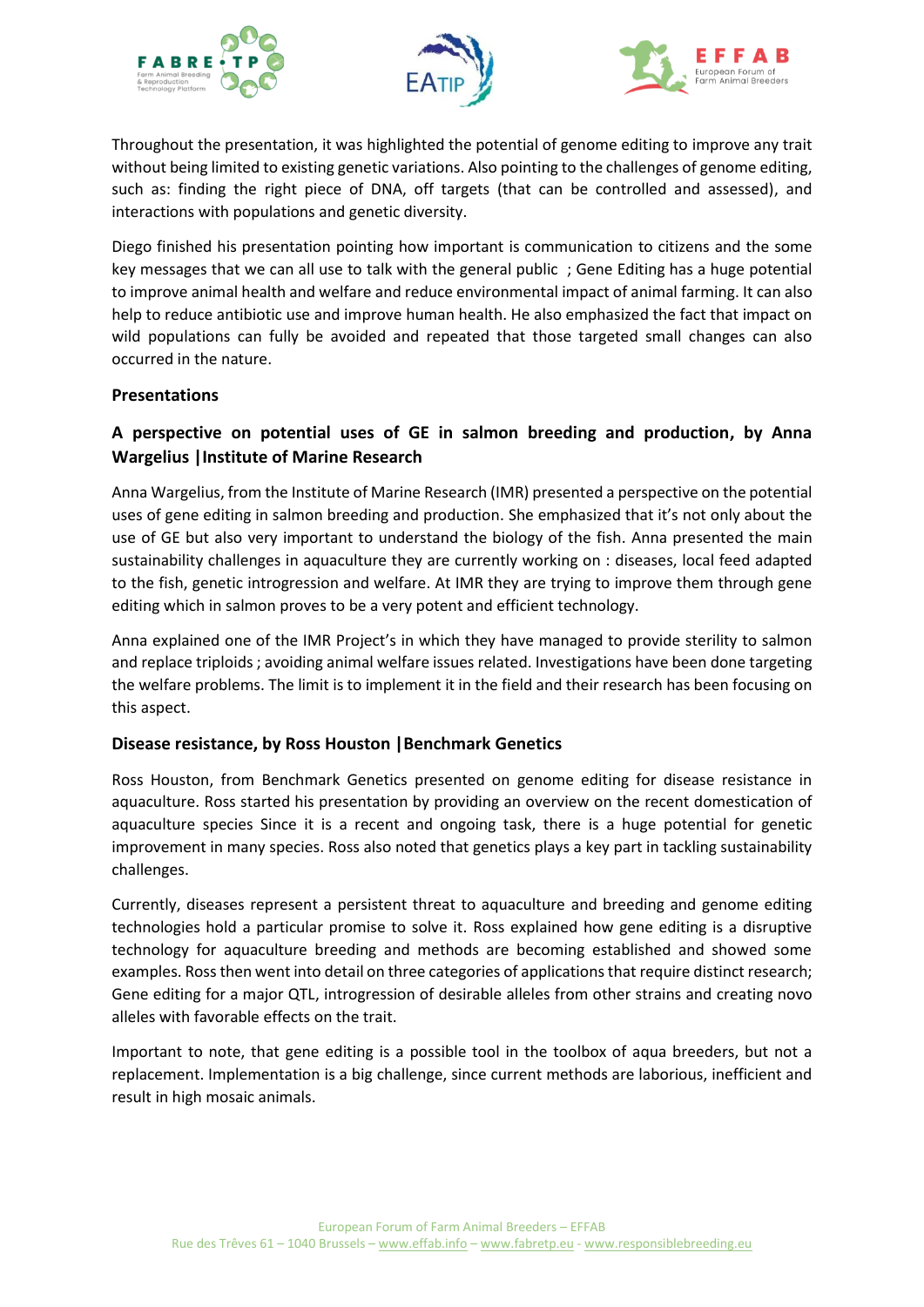





Throughout the presentation, it was highlighted the potential of genome editing to improve any trait without being limited to existing genetic variations. Also pointing to the challenges of genome editing, such as: finding the right piece of DNA, off targets (that can be controlled and assessed), and interactions with populations and genetic diversity.

Diego finished his presentation pointing how important is communication to citizens and the some key messages that we can all use to talk with the general public ; Gene Editing has a huge potential to improve animal health and welfare and reduce environmental impact of animal farming. It can also help to reduce antibiotic use and improve human health. He also emphasized the fact that impact on wild populations can fully be avoided and repeated that those targeted small changes can also occurred in the nature.

### **Presentations**

# **A perspective on potential uses of GE in salmon breeding and production, by Anna Wargelius |Institute of Marine Research**

Anna Wargelius, from the Institute of Marine Research (IMR) presented a perspective on the potential uses of gene editing in salmon breeding and production. She emphasized that it's not only about the use of GE but also very important to understand the biology of the fish. Anna presented the main sustainability challenges in aquaculture they are currently working on : diseases, local feed adapted to the fish, genetic introgression and welfare. At IMR they are trying to improve them through gene editing which in salmon proves to be a very potent and efficient technology.

Anna explained one of the IMR Project's in which they have managed to provide sterility to salmon and replace triploids ; avoiding animal welfare issues related. Investigations have been done targeting the welfare problems. The limit is to implement it in the field and their research has been focusing on this aspect.

### **Disease resistance, by Ross Houston |Benchmark Genetics**

Ross Houston, from Benchmark Genetics presented on genome editing for disease resistance in aquaculture. Ross started his presentation by providing an overview on the recent domestication of aquaculture species Since it is a recent and ongoing task, there is a huge potential for genetic improvement in many species. Ross also noted that genetics plays a key part in tackling sustainability challenges.

Currently, diseases represent a persistent threat to aquaculture and breeding and genome editing technologies hold a particular promise to solve it. Ross explained how gene editing is a disruptive technology for aquaculture breeding and methods are becoming established and showed some examples. Ross then went into detail on three categories of applications that require distinct research; Gene editing for a major QTL, introgression of desirable alleles from other strains and creating novo alleles with favorable effects on the trait.

Important to note, that gene editing is a possible tool in the toolbox of aqua breeders, but not a replacement. Implementation is a big challenge, since current methods are laborious, inefficient and result in high mosaic animals.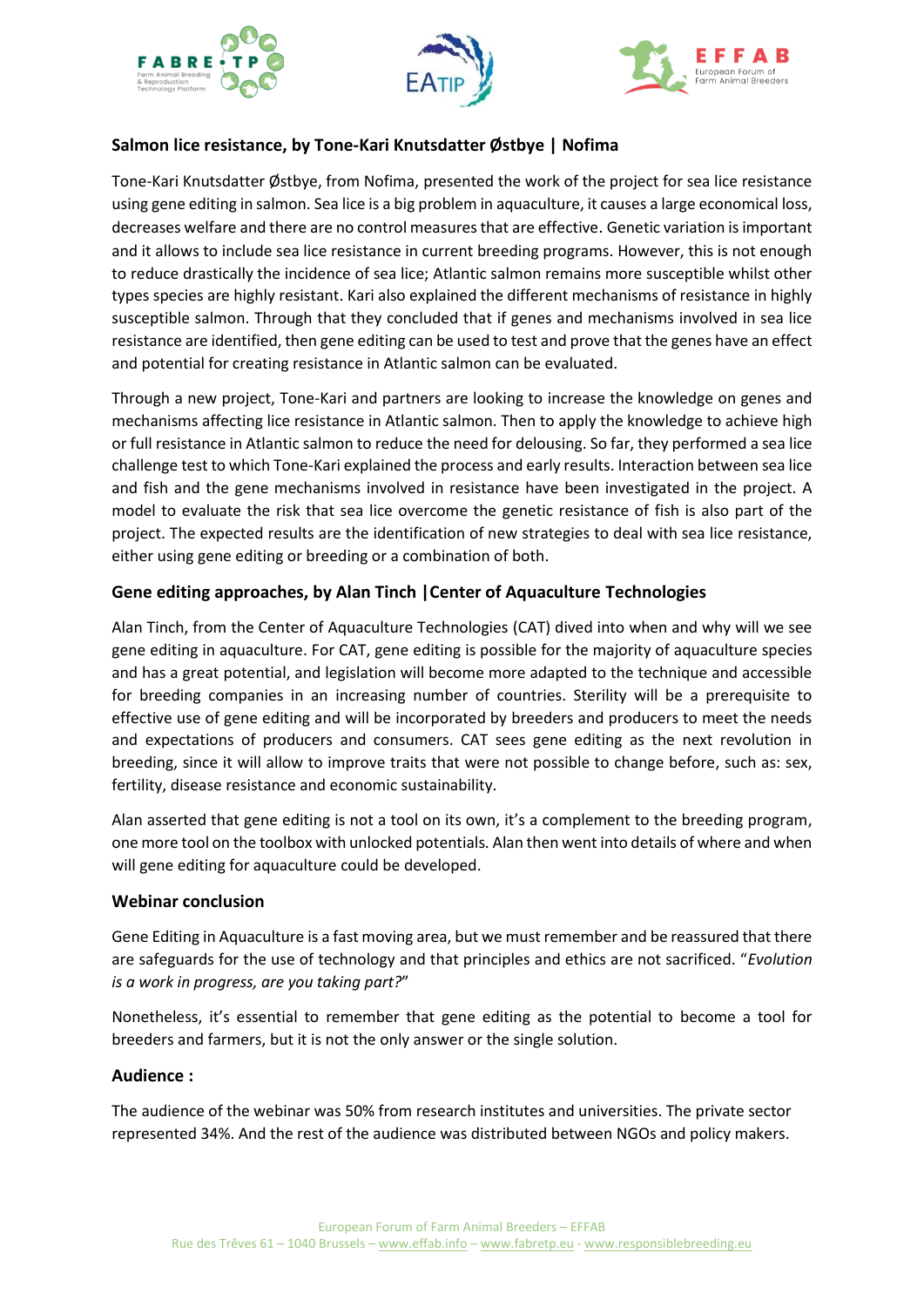





## **Salmon lice resistance, by Tone-Kari Knutsdatter Østbye | Nofima**

Tone-Kari Knutsdatter Østbye, from Nofima, presented the work of the project for sea lice resistance using gene editing in salmon. Sea lice is a big problem in aquaculture, it causes a large economical loss, decreases welfare and there are no control measures that are effective. Genetic variation is important and it allows to include sea lice resistance in current breeding programs. However, this is not enough to reduce drastically the incidence of sea lice; Atlantic salmon remains more susceptible whilst other types species are highly resistant. Kari also explained the different mechanisms of resistance in highly susceptible salmon. Through that they concluded that if genes and mechanisms involved in sea lice resistance are identified, then gene editing can be used to test and prove that the genes have an effect and potential for creating resistance in Atlantic salmon can be evaluated.

Through a new project, Tone-Kari and partners are looking to increase the knowledge on genes and mechanisms affecting lice resistance in Atlantic salmon. Then to apply the knowledge to achieve high or full resistance in Atlantic salmon to reduce the need for delousing. So far, they performed a sea lice challenge test to which Tone-Kari explained the process and early results. Interaction between sea lice and fish and the gene mechanisms involved in resistance have been investigated in the project. A model to evaluate the risk that sea lice overcome the genetic resistance of fish is also part of the project. The expected results are the identification of new strategies to deal with sea lice resistance, either using gene editing or breeding or a combination of both.

### **Gene editing approaches, by Alan Tinch |Center of Aquaculture Technologies**

Alan Tinch, from the Center of Aquaculture Technologies (CAT) dived into when and why will we see gene editing in aquaculture. For CAT, gene editing is possible for the majority of aquaculture species and has a great potential, and legislation will become more adapted to the technique and accessible for breeding companies in an increasing number of countries. Sterility will be a prerequisite to effective use of gene editing and will be incorporated by breeders and producers to meet the needs and expectations of producers and consumers. CAT sees gene editing as the next revolution in breeding, since it will allow to improve traits that were not possible to change before, such as: sex, fertility, disease resistance and economic sustainability.

Alan asserted that gene editing is not a tool on its own, it's a complement to the breeding program, one more tool on the toolbox with unlocked potentials. Alan then went into details of where and when will gene editing for aquaculture could be developed.

### **Webinar conclusion**

Gene Editing in Aquaculture is a fast moving area, but we must remember and be reassured that there are safeguards for the use of technology and that principles and ethics are not sacrificed. "*Evolution is a work in progress, are you taking part?*"

Nonetheless, it's essential to remember that gene editing as the potential to become a tool for breeders and farmers, but it is not the only answer or the single solution.

#### **Audience :**

The audience of the webinar was 50% from research institutes and universities. The private sector represented 34%. And the rest of the audience was distributed between NGOs and policy makers.